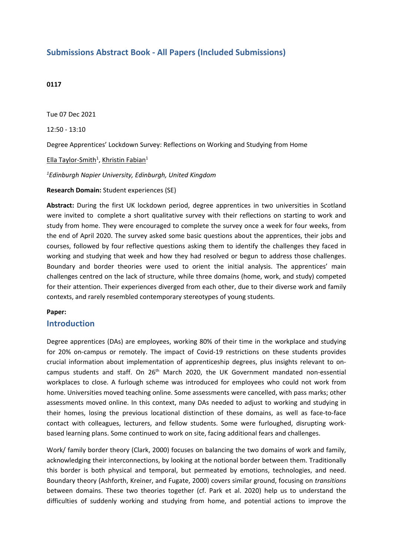# **Submissions Abstract Book - All Papers (Included Submissions)**

### **0117**

Tue 07 Dec 2021

12:50 - 13:10

Degree Apprentices' Lockdown Survey: Reflections on Working and Studying from Home

<u>Ella Taylor-Smith<sup>1</sup>, Khristin Fabian<sup>1</sup></u>

*1 Edinburgh Napier University, Edinburgh, United Kingdom*

**Research Domain:** Student experiences (SE)

**Abstract:** During the first UK lockdown period, degree apprentices in two universities in Scotland were invited to complete <sup>a</sup> short qualitative survey with their reflections on starting to work and study from home. They were encouraged to complete the survey once <sup>a</sup> week for four weeks, from the end of April 2020. The survey asked some basic questions about the apprentices, their jobs and courses, followed by four reflective questions asking them to identify the challenges they faced in working and studying that week and how they had resolved or begun to address those challenges. Boundary and border theories were used to orient the initial analysis. The apprentices' main challenges centred on the lack of structure, while three domains (home, work, and study) competed for their attention. Their experiences diverged from each other, due to their diverse work and family contexts, and rarely resembled contemporary stereotypes of young students.

#### **Paper:**

### **Introduction**

Degree apprentices (DAs) are employees, working 80% of their time in the workplace and studying for 20% on-campus or remotely. The impact of Covid-19 restrictions on these students provides crucial information about implementation of apprenticeship degrees, plus insights relevant to oncampus students and staff. On 26<sup>th</sup> March 2020, the UK Government mandated non-essential workplaces to close. A furlough scheme was introduced for employees who could not work from home. Universities moved teaching online. Some assessments were cancelled, with pass marks; other assessments moved online. In this context, many DAs needed to adjust to working and studying in their homes, losing the previous locational distinction of these domains, as well as face-to-face contact with colleagues, lecturers, and fellow students. Some were furloughed, disrupting workbased learning plans. Some continued to work on site, facing additional fears and challenges.

Work/ family border theory (Clark, 2000) focuses on balancing the two domains of work and family, acknowledging their interconnections, by looking at the notional border between them. Traditionally this border is both physical and temporal, but permeated by emotions, technologies, and need. Boundary theory (Ashforth, Kreiner, and Fugate, 2000) covers similar ground, focusing on *transitions* between domains. These two theories together (cf. Park et al. 2020) help us to understand the difficulties of suddenly working and studying from home, and potential actions to improve the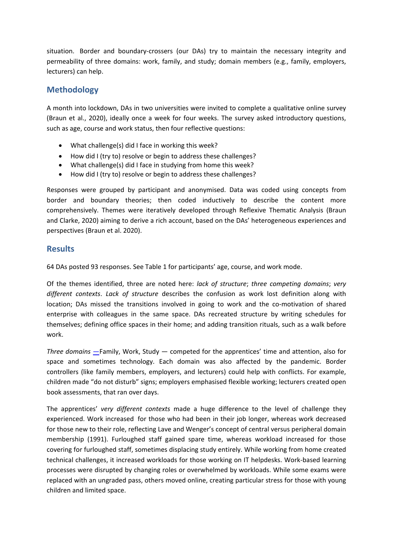situation. Border and boundary-crossers (our DAs) try to maintain the necessary integrity and permeability of three domains: work, family, and study; domain members (e.g., family, employers, lecturers) can help.

# **Methodology**

A month into lockdown, DAs in two universities were invited to complete <sup>a</sup> qualitative online survey (Braun et al., 2020), ideally once <sup>a</sup> week for four weeks. The survey asked introductory questions, such as age, course and work status, then four reflective questions:

- What challenge(s) did I face in working this week?
- How did I (try to) resolve or begin to address these challenges?
- What challenge(s) did I face in studying from home this week?
- How did I (try to) resolve or begin to address these challenges?

Responses were grouped by participant and anonymised. Data was coded using concepts from border and boundary theories; then coded inductively to describe the content more comprehensively. Themes were iteratively developed through Reflexive Thematic Analysis (Braun and Clarke, 2020) aiming to derive <sup>a</sup> rich account, based on the DAs' heterogeneous experiences and perspectives (Braun et al. 2020).

## **Results**

64 DAs posted 93 responses. See Table 1 for participants' age, course, and work mode.

Of the themes identified, three are noted here: *lack of structure*; *three competing domains*; *very different contexts*. *Lack of structure* describes the confusion as work lost definition along with location; DAs missed the transitions involved in going to work and the co-motivation of shared enterprise with colleagues in the same space. DAs recreated structure by writing schedules for themselves; defining office spaces in their home; and adding transition rituals, such as <sup>a</sup> walk before work.

*Three domains* —Family, Work, Study — competed for the apprentices' time and attention, also for space and sometimes technology. Each domain was also affected by the pandemic. Border controllers (like family members, employers, and lecturers) could help with conflicts. For example, children made "do not disturb" signs; employers emphasised flexible working; lecturers created open book assessments, that ran over days.

The apprentices' *very different contexts* made <sup>a</sup> huge difference to the level of challenge they experienced. Work increased for those who had been in their job longer, whereas work decreased for those new to their role, reflecting Lave and Wenger's concept of central versus peripheral domain membership (1991). Furloughed staff gained spare time, whereas workload increased for those covering for furloughed staff, sometimes displacing study entirely. While working from home created technical challenges, it increased workloads for those working on IT helpdesks. Work-based learning processes were disrupted by changing roles or overwhelmed by workloads. While some exams were replaced with an ungraded pass, others moved online, creating particular stress for those with young children and limited space.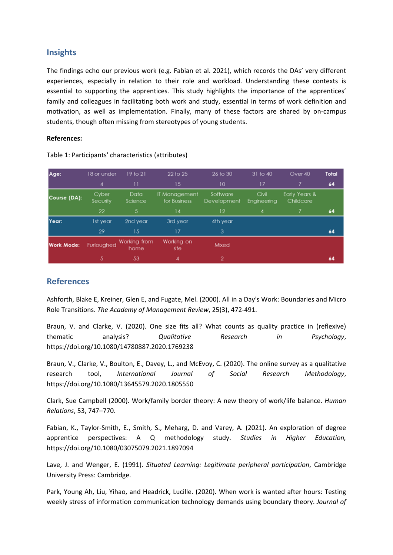### **Insights**

The findings echo our previous work (e.g. Fabian et al. 2021), which records the DAs' very different experiences, especially in relation to their role and workload. Understanding these contexts is essential to supporting the apprentices. This study highlights the importance of the apprentices' family and colleagues in facilitating both work and study, essential in terms of work definition and motivation, as well as implementation. Finally, many of these factors are shared by on-campus students, though often missing from stereotypes of young students.

### **References:**

| Age:              | 18 or under       | 19 to 21             | 22 to 25                      | 26 to 30                | 31 to 40             | Over 40                    | Total |
|-------------------|-------------------|----------------------|-------------------------------|-------------------------|----------------------|----------------------------|-------|
|                   | 4                 | П                    | 15                            | 10                      | 17                   |                            | 64    |
| Course (DA):      | Cyber<br>Security | Data<br>Science      | IT Management<br>for Business | Software<br>Development | Civil<br>Engineering | Early Years &<br>Childcare |       |
|                   | 22                | 5                    | 14                            | $12 \overline{ }$       | 4                    |                            | 64    |
| Year:             | 1st year          | 2nd year             | 3rd year                      | 4th year                |                      |                            |       |
|                   | 29                | 15                   | 17                            | 3                       |                      |                            | 64    |
| <b>Work Mode:</b> | Furloughed        | Working from<br>home | Working on<br>site            | Mixed                   |                      |                            |       |
|                   | -5.               | 53                   | 4                             | $\overline{2}$          |                      |                            | 64    |

Table 1: Participants' characteristics (attributes)

# **References**

Ashforth, Blake E, Kreiner, Glen E, and Fugate, Mel. (2000). All in <sup>a</sup> Day's Work: Boundaries and Micro Role Transitions. *The Academy of Management Review*, 25(3), 472-491.

Braun, V. and Clarke, V. (2020). One size fits all? What counts as quality practice in (reflexive) thematic analysis? *Qualitative Research in Psychology*, https://doi.org/10.1080/14780887.2020.1769238

Braun, V., Clarke, V., Boulton, E., Davey, L., and McEvoy, C. (2020). The online survey as <sup>a</sup> qualitative research tool, *International Journal of Social Research Methodology*, https://doi.org/10.1080/13645579.2020.1805550

Clark, Sue Campbell (2000). Work/family border theory: A new theory of work/life balance. *Human Relations*, 53, 747–770.

Fabian, K., Taylor-Smith, E., Smith, S., Meharg, D. and Varey, A. (2021). An exploration of degree apprentice perspectives: A Q methodology study. *Studies in Higher Education,* https://doi.org/10.1080/03075079.2021.1897094

Lave, J. and Wenger, E. (1991). *Situated Learning: Legitimate peripheral participation*, Cambridge University Press: Cambridge.

Park, Young Ah, Liu, Yihao, and Headrick, Lucille. (2020). When work is wanted after hours: Testing weekly stress of information communication technology demands using boundary theory. *Journal of*